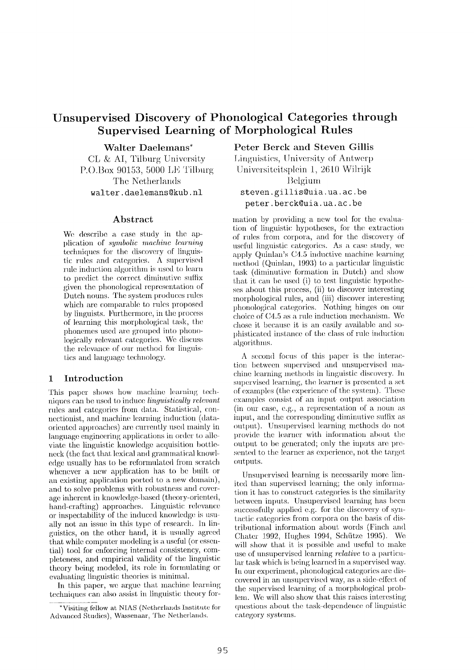# **Unsupervised Discovery of Phonological Categories through Supervised Learning of Morphological Rules**

Walter **Daelemans\*** 

 $CL \& AI$ , Tilburg University P.().Box 90153, 5000 LE Tilburg The Netherlands  $walter.daelemas@kub.nl$ 

### **Abstract**

We describe a case study in the application of *symbolic machinc learning*  techniques for the discovery of linguistic rules and categories.  $\Lambda$  supervised rule induction algorithm is used to learn to predict the correct diminutive suffix given the phonological representation of Dutch nouns. The system produces rules which are comparable to rules proposed by linguists. Furthermore, in the process of learning this morphological task, the phonemes used are grouped into phonologically relevant categories. We discuss the relevance of our method for linguistics and language technology.

### **1** Introduction

This paper shows how machine learning techniques can be used to induce *linguistically relevant*  rules and categories from data. Statistical, connectionist, and machine learning induction (dataoriented approaches) are currently nsed mainly in language engineering applications in order to alleviate the linguistic knowledge acquisition bottleneck (the fact that lexical and grammatical knowledge usually has to be reformulated from scratch whenever a new application has to be built or an existing application ported to a new domain), and to solve problems with robustness and coverage inherent in knowledge-based (theory-oriented, hand-crafting) approaches. Linguistic relevance. or inspectability of the induced knowledge is usually not an issue in this type of research. In linguistics, **on the** other hand, it is usually agreed that while computer modeling is a useful (or essential) tool for enforcing internal consistency, completeness, and empirical validity of the linguistic theory being modeled, its role in formulating or evaluating linguistic theories is minimal.

In this paper, we argue that machine learning techniques can also assist in linguistic theory for**Peter Berck and Steven** Gillis

Linguistics, University of Antwerp Universiteitsplein 1, 2610 Wilrijk Belgium **steven, gillis@uia, ua. ac. be peter, berck@uia, ua. ac. be** 

mation by providing a new tool for the evaluation of linguistic hypotheses, for the extraction of rules from corpora, and for the discovery of useful linguistic categories. As a case study, we apply Quinlan's C4.5 inductive machine learning method (Quinlan, 1993) to a particular linguistic task (diminutive formation in Dutch) and show that it can be used (i) to test linguistic hypotheses about this process, (ii) to discover interesting morphological rules, and (iii) discover interesting phonological categories. Nothing hinges on our choice of C4.5 as a rule induction mechanism. We chose it because it is an easily available and sophisticated instance of the class of rule induction algorithms.

A second focus of this paper is the interaction between supervised and unsupervised machine learning methods in linguistic discovery. In supervised learning, the learner is presented a set of examples (the experience of the system). These examples consist of an input output association  $(in our case, e.g., a representation of a noun as)$ input, and the corresponding diminutive suffix as output). Unsupervised learning methods do not provide the learner with information about the output to be generated; only the inputs are presented to the learner as experience, not the target outputs.

Unsupervised learning is necessarily more limited than supervised learning; the only information it has to construct categories is the similarity between inputs. Unsupervised learning has been successfully applied e.g. for the discovery of syntactic categories from corpora on the basis of distributional information about words (Finch and Chater 1992, Hughes 1994, Schütze 1995). We will show that it is possible and useful to make use of unsupervised learning *relative* to a particular task which is being learned in a supervised way. In our experiment, phonological categories are discovered in an unsupervised way, as a side-effect of the supervised learning of a morphological problem. We will also show that this raises interesting questions about the task-dependence of linguistic category systems.

<sup>\*</sup>Visiting fellow at NIAS (Netherlands Institute for Advanced Studies), Wassenaar, The Netherlands.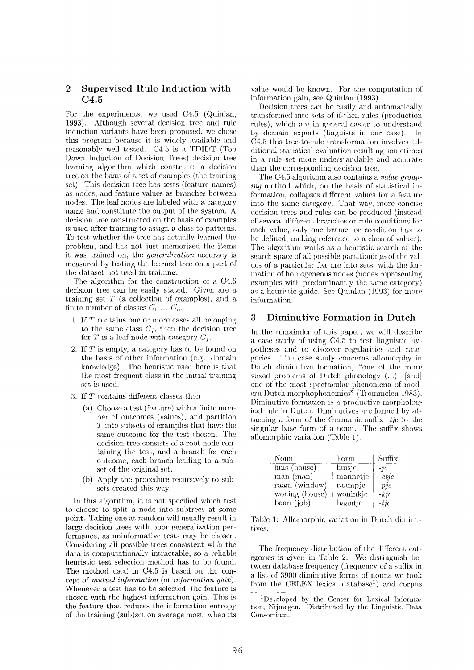## **2 Supervised Rule Induction with C4.5**

For the experiments, we used C4.5 (Quinlan, 1993). Although several decision tree and rule induction variants have been proposed, we chose this program because it is widely available and reasonably well tested. C4,5 is a TDIDT (Top Down Induction of Decision Trees) decision tree learning algorithm which constructs a decision tree on the basis of a set of examples (the training set). This decision tree has tests (feature names) as nodes, and feature values as branches between nodes. The leaf nodes are labeled with a category name and constitute the output of the system. A decision tree constructed on the basis of examples is used after training to assign a class to patterns. To test whether the tree has actually learned the problem, and has not just memorized the items it was trained on, the *9eneralization* accuracy is measured by testing the learned tree on a part of the dataset not used in training.

The algorithm for the construction of a C4.5 decision tree can be easily stated. Given are a training set  $T$  (a collection of examples), and a finite number of classes  $C_1 \ldots C_n$ .

- 1. If T contains one or more cases all belonging to the same class  $C_j$ , then the decision tree for T is a leaf node with category  $C_i$ .
- 2. If T is empty, a category has to be found on the basis of other information (e.g. domain knowledge). The heuristic used here is that the most frequent class in the initial training set is used.
- 3. If T contains different classes then
	- (a) Choose a test (feature) with a finite number of outcomes (values), and partition T into subsets of examples that have the same outcome for the test chosen. The decision tree consists of a root node containing the test, and a branch for each outcome, each branch leading to a subset of the original set.
	- (b) Apply the procedure recursively to subsets created this way.

In this algorithm, it is not specified which test to choose to split a node into subtrees at some point. Taking one at random will usually result in large decision trees with poor generalization performanee, as uninformative tests may be chosen. Considering all possible trees consistent; with the data is computationally intractable, so a reliable heuristic test selection method has to be found. The method used in C4.5 is based on the concept of *mutual information* (or *information gain).*  Whenever a test has to be selected, the feature is chosen with the highest information gain. This is the feature that reduces the information entropy of the training (sub)set on average most, when its

value would be known. For the computation of information gain, see Quinlan (1993).

Decision trees can be easily and automatically transformed into sets of if-then rules (production rules), which are in general easier to understand by domain experts (linguists in our case). In C4.5 this tree-to-rule transformation involves additional statistical evaluation resulting sometimes in a rule set more understandable and accurate than the corresponding decision tree.

The C4.5 algorithm also contains a *value grouping* method which, on the basis of statistical information, collapses different values for a feature into the same category. That way, more concise decision trees and rules can be produced (instead of several different branches or rule conditions for each value, only one branch or condition has to be defined, making reference to a class of values). The algorithm works as a heuristic search of the search space of all possible partitionings of the wdues of a particular feature into sets, with the for-Ination of homogeneous nodes (nodes representing examples with predominantly the same category) as a heuristic guide. See Quinlan (1993) for more information.

### **3 Diminutive Formation in Dutch**

In the remainder of this paper, we will describe a case study of using C4.5 to test linguistic hypotheses and to discover regularities and categories. The case study concerns allomorphy in Dutch diminutive formation, "one of the more vexed problems of Dutch phonology  $(...)$  [and] one of the most spectacular phenomena of modern Dutch morphophonemics" (Trommelen 1983). Diminutive formation is a productive morphological rule in Dutch. Diminutives are formed by attaching a form of the Germanic suffix *-tje* to the singular base form of a noun. The suffix shows allomorphic variation (Table 1).

| Noun           | Form     | Suffix   |
|----------------|----------|----------|
| huis (house)   | huisje   | $-7e$    |
| man (man)      | mannetje | $-etje$  |
| raam (window)  | raampje  | $-pje$   |
| woning (house) | woninkje | $- k$ je |
| baan (job)     | baantje  | $-tie$   |

Table 1: Allomorphic variation in Dutch diminutives.

The frequency distribution of the different categories is given in Table 2. We distinguish between database frequency (frequency of a suffix in a list, of 3900 diminutive forms of nouns we took from the CELEX lexical database<sup>1</sup>) and corpus

<sup>&</sup>lt;sup>1</sup>Developed by the Center for Lexical Information, Nijmegen. Distributed by the Linguistic Data Consortium.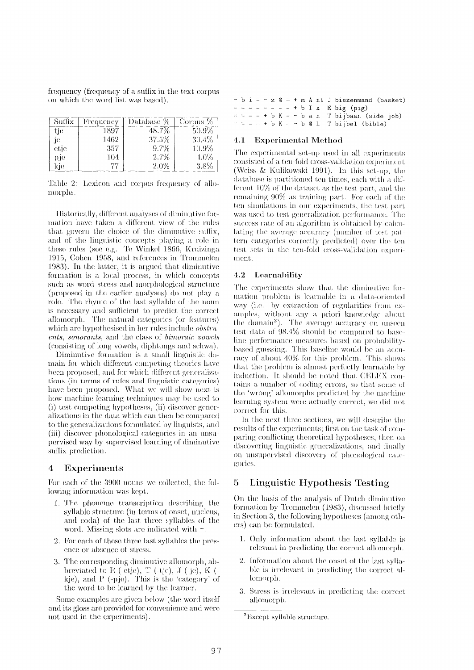frequency (frequency of a suffix in the text corpus on which the word list was based).

| Suffix | Frequency | Database % | - Corpus % |
|--------|-----------|------------|------------|
| tie    | 1897      | 48.7%      | $50.9\%$   |
| 10     | 1462      | 37.5%      | 30.4%      |
| etje   | 357       | 9.7%       | 10.9%      |
| pje    | 104       | 2.7%       | 4.0%       |
| kie    | 77        | 2.0%       | 3.8%       |

Table 2: Lexicon and corpus frequency of allomorphs.

Historically, different analyses of diminutive formation have taken a different view of the rules that govern the choice of the diminutive suffix, and of the linguistic concepts playing a role in these rules (see e.g. Te Winkel 1866, Kruizinga 1915, Cohen 1958, and references in Trommelen 1983). In the latter, it is argued that diminutive formation is a local process, in which concepts such as word stress and morphological structure (proposed in the earlier analyses) do not play a role. The rhyme of the last syllable of the noun is necessary and sufficient to predict the correct allomorph. The natural categories (or features) which are hypothesised in her rules include  $obstru$ ents, sonorants, and the class of bimoraic vowels (consisting of long vowels, diphtongs and schwa).

Diminutive formation is a small linguistic domain for which different competing theories have been proposed, and for which different generalizations (in terms of rules and linguistic categories) have been proposed. What we will show next is how machine learning techniques may be used to (i) test competing hypotheses, (ii) discover generalizations in the data which can then be compared to the generalizations formulated by linguists, and (iii) discover phonological categories in an unsupervised way by supervised learning of diminutive suffix prediction.

#### $\boldsymbol{4}$ **Experiments**

For each of the 3900 nouns we collected, the following information was kept.

- 1. The phoneme transcription describing the syllable structure (in terms of onset, nucleus, and coda) of the last three syllables of the word. Missing slots are indicated with  $=$ .
- 2. For each of these three last syllables the presence or absence of stress.
- 3. The corresponding diminutive allomorph, abbreviated to E (-etje), T (-tje), J (-je), K (kje), and P (-pje). This is the 'category' of the word to be learned by the learner.

Some examples are given below (the word itself and its gloss are provided for convenience and were not used in the experiments).

|  |  |  |  |  |  | - b i = - z $\&$ = + m A nt J biezenmand (basket)                       |
|--|--|--|--|--|--|-------------------------------------------------------------------------|
|  |  |  |  |  |  | $z = z = z = z = + b I x$ E big (pig)                                   |
|  |  |  |  |  |  | $\exists z = 1 + b$ K = $\sim$ b a n T bijbaan (side job)               |
|  |  |  |  |  |  | $=$ $=$ $=$ $+$ $\frac{1}{5}$ K $=$ $ \frac{1}{5}$ Q 1 T bijbel (bible) |

#### $4.1$ **Experimental Method**

The experimental set-up used in all experiments consisted of a ten-fold cross-validation experiment (Weiss & Kulikowski 1991). In this set-up, the database is partitioned ten times, each with a different 10% of the dataset as the test part, and the remaining 90% as training part. For each of the ten simulations in our experiments, the test part was used to test generalization performance. The success rate of an algorithm is obtained by calculating the average accuracy (number of test pattern categories correctly predicted) over the ten test sets in the ten-fold cross-validation experiment.

### 4.2 Learnability

The experiments show that the diminutive formation problem is learnable in a data-oriented way (i.e. by extraction of regularities from examples, without any a priori knowledge about the domain<sup>2</sup>). The average accuracy on unseen test data of 98.4% should be compared to baseline performance measures based on probabilitybased guessing. This baseline would be an accuracy of about 40% for this problem. This shows that the problem is almost perfectly learnable by induction. It should be noted that CELEX contains a number of coding errors, so that some of the 'wrong' allomorphs predicted by the machine learning system were actually correct, we did not correct for this.

In the next three sections, we will describe the results of the experiments; first on the task of comparing conflicting theoretical hypotheses, then on discovering linguistic generalizations, and finally on unsupervised discovery of phonological categories.

#### Linguistic Hypothesis Testing 5

On the basis of the analysis of Dutch diminutive formation by Trommelen (1983), discussed briefly in Section 3, the following hypotheses (among others) can be formulated.

- 1. Only information about the last syllable is relevant in predicting the correct allomorph.
- 2. Information about the onset of the last syllable is irrelevant in predicting the correct allomorph.
- 3. Stress is irrelevant in predicting the correct allomorph.

<sup>&</sup>lt;sup>2</sup>Except syllable structure.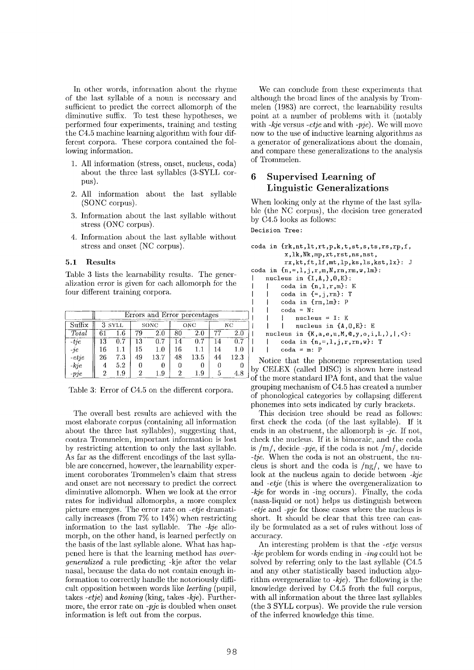In other words, information about the rhyme of the last syllable of a noun is necessary and sufficient to predict the correct allomorph of the diminutive suffix. To test these hypotheses, we performed four experiments, training and testing the C4.5 machine learning algorithm with four different corpora. These corpora contained the following information.

- 1. All information (stress, onset, nucleus, coda) about the three last syllables (3-SYLL corpus).
- 2. All information about the last syllable (SONC corpus).
- 3. Information about the last syllable without stress (ONC corpus).
- 4. Information about the last syllable without stress and onset (NC corpus).

#### **5.1 Results**

Table 3 lists the learnability results. The generalization error is given for each allomorph for the four different training corpora.

|              | Errors and Error percentages |         |    |      |    |      |    |         |
|--------------|------------------------------|---------|----|------|----|------|----|---------|
| Suffix       |                              | 3 SYLL  |    | SONC |    | ONC  |    | NC.     |
| Total        | 61                           | 1.6     | 79 | 2.0  | 80 | 2.0  | 77 | $2.0\,$ |
| $-tie$       | 13                           | 0.7     | 13 | 0.7  | 14 | 0.7  | 14 | 0.7     |
| $-i\epsilon$ | 16                           | $1.1\,$ | 15 | 1.0  | 16 | 1.1  | 14 | 1.0     |
| $-etje$      | 26                           | $7.3\,$ | 49 | 13.7 | 48 | 13.5 | 44 | 12.3    |
| $- kje$      | 4                            | 5.2     | 0  |      | 0  |      |    |         |
| $-pje$       | $\overline{2}$               | 1.9     | 2  | 1.9  | 2  | 1.9  | ð  | 4.8     |

Table 3: Error of C4.5 on the different corpora.

The overall best results are achieved with the most elaborate corpus (containing all information about; the three last syllables), suggesting that, eontra Trommelen, important information is lost by restricting attention to only the last syllable. As far as the different encodings of the last syllable are concerned, however, the learnability experiment coroborates Trommelen's claim that stress and onset are not necessary to predict the correct diminutive allomorph. When we look at the error rates for individual allomorphs, a more complex picture emerges. The error rate on *-etje* dramatically increases (from 7% to 14%) when restricting information to the last syllable. The *-kje* allomorph, on the other hand, is learned perfectly on the basis of the last syllable alone. What has happened here is that the learning method has *overgeneralized* a rule predicting -kje after the velar nasal, because the data do not contain enough information to correctly handle the notoriously difficult opposition between words like *leerling* (pupil, takes *-etje)* and *koning* (king, takes *-kje).* Purthermore, the error rate on *-pje* is doubled when onset information is left out from the corpus.

We can conclude from these experiments that although the broad lines of the analysis by Trommelen (1983) are correct, the learnability results point at a number of problems with it (notably with *-kje* versus *-etje* and with -pje). We will move now to the use of inductive learning algorithms as a generator of generalizations about the domain, and compare these generalizations to the analysis of Trommelen.

### **6 Supervised Learning of Linguistic Generalizations**

When looking only at the rhyme of the last syllable (the NC corpus), the decision tree generated by C4.5 looks as follows:

Decision Tree:

```
coda in {rk,nt,lt,rt,p,k,t,st,s,ts,rs,rp,f, 
           x, ik,Nk,mp, xt,rst,ns ,nst, 
           rx, kt, ft, lf, mt, lp, ks, ls, kst, lx): J
coda in {n, =, 1, j, r, m, N, rn, rm, w, lm}:
    nucleus in {I,A,},O,E}: 
          coda in {n,1,r,m}: E
          coda in {=,j,rn}: T 
          coda in {rm,lm}: P 
          \text{coda} = N:
          1 nucleus = I: K 
          I nucleus in {A,O,E}: E 
     \overline{1}nucleus in {K,a,e,u,M,@,y,o,i,L,), I,<}: 
          coda in {n, =, 1, j, r, rn, w}: T
\overline{\phantom{a}}\text{coda} = \text{m}: \text{P}
```
Notice that the phoneme representation used by CELEX (called DISC) is shown here instead of the more standard IPA font, and that the value grouping mechanism of C4.5 has created a number of phonological categories by collapsing different phonemes into sets indicated by curly brackets.

This decision tree should be read as follows: first check the coda (of the last syllable). If it ends in an obstruent, the allomorph is *-jc.* If not, check the nucleus. If it is bimoraic, and the coda is  $/m/$ , decide *-pje*, if the coda is not  $/m/$ , decide *-tje.* When the coda is not an obstruent, the nucleus is short and the coda is /ng/, we have to look at the nucleus again to decide between *-kje*  and *-etje* (this is where the overgeneralization to *-kje* for words in -ing occurs). Finally, the coda (nasa-liquid or not) helps us distinguish between *-etje* and *-pje* for those cases where the nucleus is short. It should be clear that this tree can easily be formulated as a set of rules without loss of accuracy.

An interesting problem is that the *-etje* versus *-kje* problem for words ending in *-ing* could hot be solved by referring only to the last syllable (C4.5 and any other statistically based induction algorithm overgeneralize to *-kjc).* The following is the knowledge derived by  $C4.5$  from the full corpus, with all information about the three last syllables (the 3 SYLL corpus). We provide the rule version of the inferred knowledge this time.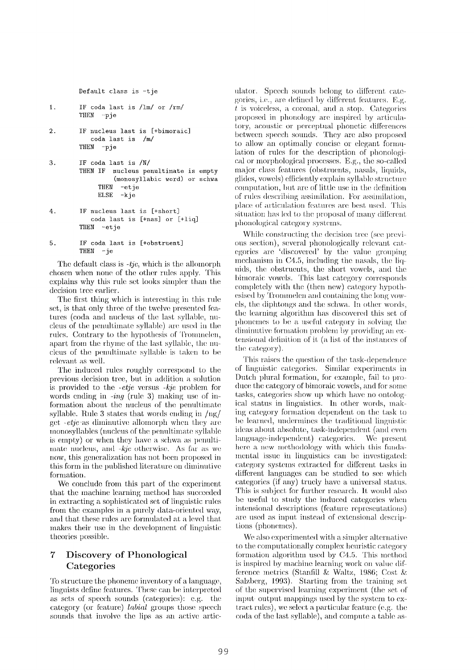**Default class is -tje** 

- 1. **IF coda last is /lm/ or /rm/ THEN -pje**
- **2. IF nucleus last is [+bimoraic] coda last is /m/ THEN -pje**
- **3. IF coda last is /N/ THEN IF nucleus penultimate is empty (monosyllabic word) or schwa THEN -etje ELSE -kje**
- **4. IF nucleus last is [+short] coda last is [+nas] or [+liq] THEN -etje**
- **5. IF coda last is [+obstruent]**   $-$ **je**

**The default** class is -tjc, which is the allomorph **chosen when** none of the other rules apply. This explains why this rule set looks simpler than the decision tree earlier.

The first thing which is interesting in this rule set, is that only three of the twelve presented features (coda and nucleus of the last syllable, nucleus of the penultimate syllable) are used in the rules. Contrary to the hypothesis of Trommelen, apart from the rhyme of the last syllable, the nucleus of the penultimate syllable is taken to be relevant as well.

The induced rules roughly correspond **to** the previous decision tree, but in addition a solution is provided **to the** *-etje* versus *-kje* problem **for**  words ending in *-in9* (rule 3) making use of information about the nucleus of the penultimate syllable. Rule 3 states that words ending in  $\frac{mg}{m}$ get *-etje* as diminutive allomorph when they are monosyllables (nucleus of the penultimate syllable is empty) or when they have a schwa as penultimate nucleus, and *-kje* otherwise. As far as we now, this generalization has not been proposed in this form in the published literature on diminutive formation.

We conclude from this part of the experiment that the machine learning method has succeeded in extracting a sophisticated set of linguistic rules from the examples in a purely data-oriented way, and that these rules are formulated at a level that makes their use in **the development** of linguistic theories possible.

# **7 Discovery of Phonological Categories**

To structure the phoneme inventory of a language, linguists define features. These can be interpreted as sets of speech sounds (categories): e.g. the category (or feature) *labial* groups those speech sounds that involve the lips as an active articulator. Speech sounds belong to different categories, i.e., are defined by different features. E.g.  $t$  is voiceless, a coronal, and a stop. Categories proposed in phonology are inspired by articulatory, acoustic or perceptual phonetic differences **between** speech sounds. They are also proposed to allow an optimally concise or elegant formulation of rules for the description of phonological or morphological processes. E.g., the so-called major class features (obstruents, nasals, liquids, glides, vowels) efficiently explain syllable structure computation, but are of little use in the definition of rules describing assimilation. For assimilation, place of articulation features are best used. This situation has led to the proposal of many different phonological category systems.

While constructing the decision tree (see previous section), several phonologically relevant categories are 'discovered' by the value grouping mechanism in C4.5, including the nasals, the liquids, the obstruents, the short vowels, and the bimoraic vowels. This last category corresponds completely with the (then new) category hypothesised by Trommelen and containing the long vowels, the diphtongs and the schwa. In other words, the learning algorithm has discovered this set of phonemes to be a useful category in solving the diminutive formation problem by providing an exitensional definition of it (a list of the instances of the category).

This raises the question of the task-dependence of linguistic categories. Similar experiments in Dutch plural formation, for example, fail to produce the category of bimoraic vowels, and for some tasks, categories show up which have no ontological status in linguistics. In other words, making category formation dependent on the task to be learned, undermines the traditional linguistic ideas about absolute, task-independent (and even language-independent) categories. We present here a new methodology with which this fundamental issue in linguistics can be investigated: category systems extracted for different tasks in different languages can be **studied** to see which categories (if any) truely have a universal status. This is subject for further research. It would also be useful to study the induced categories when intensional descriptions (feature represeutations) are used as input instead of extensional descriptions (phonemes).

We also experimented with a simpler alternative to the computationally complex heuristic category formation algorithm used by  $C4.5$ . This method is inspired by machine learning work on value dif**ference** metrics (Stanfill & Waltz, 1986; Cost & Salzberg,  $1993$ ). Starting from the training set of the supervised learning experiment (the set of input output mappings used by the system to  $ex$ tract rules), we select a particular feature (e.g. the coda of the last syllable), and compute a table as